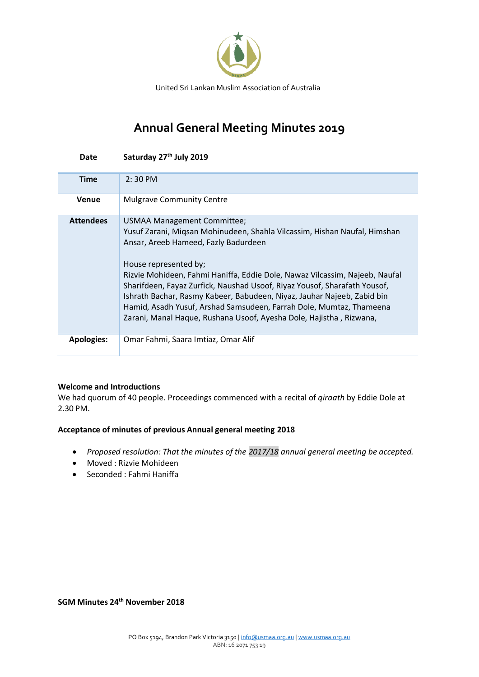

# **Annual General Meeting Minutes 2019**

| Date              | Saturday 27 <sup>th</sup> July 2019                                                                                                                                                                                                                                                                                                                                                                                                                                                                                                                            |
|-------------------|----------------------------------------------------------------------------------------------------------------------------------------------------------------------------------------------------------------------------------------------------------------------------------------------------------------------------------------------------------------------------------------------------------------------------------------------------------------------------------------------------------------------------------------------------------------|
| <b>Time</b>       | $2:30$ PM                                                                                                                                                                                                                                                                                                                                                                                                                                                                                                                                                      |
| <b>Venue</b>      | <b>Mulgrave Community Centre</b>                                                                                                                                                                                                                                                                                                                                                                                                                                                                                                                               |
| <b>Attendees</b>  | USMAA Management Committee;<br>Yusuf Zarani, Migsan Mohinudeen, Shahla Vilcassim, Hishan Naufal, Himshan<br>Ansar, Areeb Hameed, Fazly Badurdeen<br>House represented by;<br>Rizvie Mohideen, Fahmi Haniffa, Eddie Dole, Nawaz Vilcassim, Najeeb, Naufal<br>Sharifdeen, Fayaz Zurfick, Naushad Usoof, Riyaz Yousof, Sharafath Yousof,<br>Ishrath Bachar, Rasmy Kabeer, Babudeen, Niyaz, Jauhar Najeeb, Zabid bin<br>Hamid, Asadh Yusuf, Arshad Samsudeen, Farrah Dole, Mumtaz, Thameena<br>Zarani, Manal Haque, Rushana Usoof, Ayesha Dole, Hajistha, Rizwana, |
| <b>Apologies:</b> | Omar Fahmi, Saara Imtiaz, Omar Alif                                                                                                                                                                                                                                                                                                                                                                                                                                                                                                                            |

#### **Welcome and Introductions**

We had quorum of 40 people. Proceedings commenced with a recital of *qiraath* by Eddie Dole at 2.30 PM.

## **Acceptance of minutes of previous Annual general meeting 2018**

- *Proposed resolution: That the minutes of the 2017/18 annual general meeting be accepted.*
- Moved : Rizvie Mohideen
- Seconded : Fahmi Haniffa

**SGM Minutes 24th November 2018**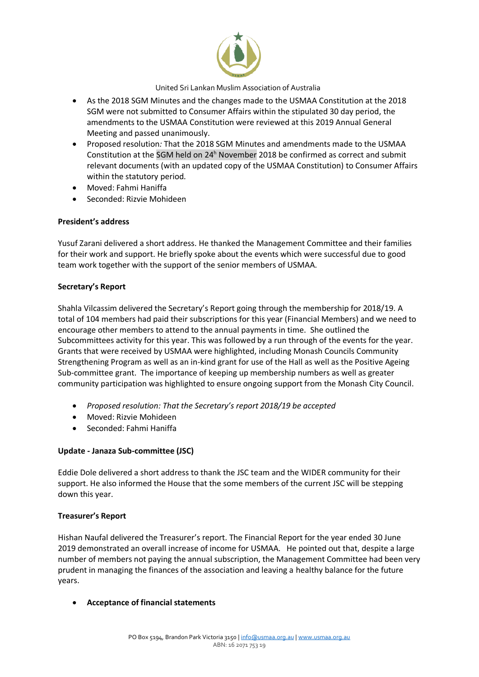

- As the 2018 SGM Minutes and the changes made to the USMAA Constitution at the 2018 SGM were not submitted to Consumer Affairs within the stipulated 30 day period, the amendments to the USMAA Constitution were reviewed at this 2019 Annual General Meeting and passed unanimously.
- Proposed resolution*:* That the 2018 SGM Minutes and amendments made to the USMAA Constitution at the SGM held on 24<sup>h</sup> November 2018 be confirmed as correct and submit relevant documents (with an updated copy of the USMAA Constitution) to Consumer Affairs within the statutory period*.*
- Moved: Fahmi Haniffa
- Seconded: Rizvie Mohideen

#### **President's address**

Yusuf Zarani delivered a short address. He thanked the Management Committee and their families for their work and support. He briefly spoke about the events which were successful due to good team work together with the support of the senior members of USMAA.

#### **Secretary's Report**

Shahla Vilcassim delivered the Secretary's Report going through the membership for 2018/19. A total of 104 members had paid their subscriptions for this year (Financial Members) and we need to encourage other members to attend to the annual payments in time. She outlined the Subcommittees activity for this year. This was followed by a run through of the events for the year. Grants that were received by USMAA were highlighted, including Monash Councils Community Strengthening Program as well as an in-kind grant for use of the Hall as well as the Positive Ageing Sub-committee grant. The importance of keeping up membership numbers as well as greater community participation was highlighted to ensure ongoing support from the Monash City Council.

- *Proposed resolution: That the Secretary's report 2018/19 be accepted*
- Moved: Rizvie Mohideen
- Seconded: Fahmi Haniffa

#### **Update - Janaza Sub-committee (JSC)**

Eddie Dole delivered a short address to thank the JSC team and the WIDER community for their support. He also informed the House that the some members of the current JSC will be stepping down this year.

#### **Treasurer's Report**

Hishan Naufal delivered the Treasurer's report. The Financial Report for the year ended 30 June 2019 demonstrated an overall increase of income for USMAA. He pointed out that, despite a large number of members not paying the annual subscription, the Management Committee had been very prudent in managing the finances of the association and leaving a healthy balance for the future years.

• **Acceptance of financial statements**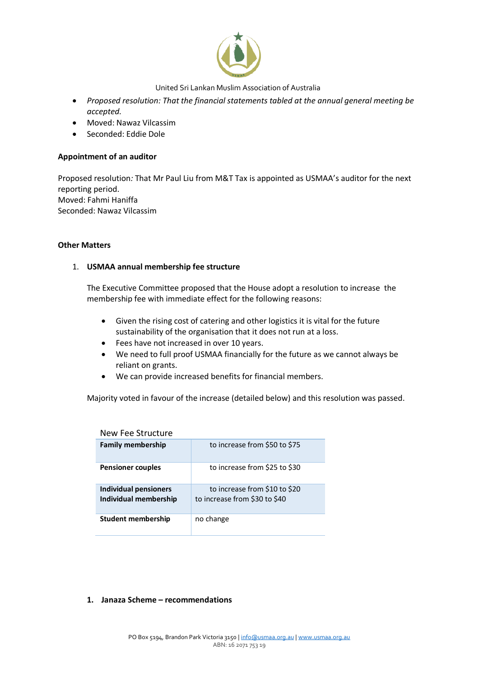

- *Proposed resolution: That the financial statements tabled at the annual general meeting be accepted.*
- Moved: Nawaz Vilcassim
- Seconded: Eddie Dole

#### **Appointment of an auditor**

Proposed resolution*:* That Mr Paul Liu from M&T Tax is appointed as USMAA's auditor for the next reporting period. Moved: Fahmi Haniffa Seconded: Nawaz Vilcassim

#### **Other Matters**

#### 1. **USMAA annual membership fee structure**

The Executive Committee proposed that the House adopt a resolution to increase the membership fee with immediate effect for the following reasons:

- Given the rising cost of catering and other logistics it is vital for the future sustainability of the organisation that it does not run at a loss.
- Fees have not increased in over 10 years.
- We need to full proof USMAA financially for the future as we cannot always be reliant on grants.
- We can provide increased benefits for financial members.

Majority voted in favour of the increase (detailed below) and this resolution was passed.

| New Fee Structure                              |                                                                |  |  |  |
|------------------------------------------------|----------------------------------------------------------------|--|--|--|
| <b>Family membership</b>                       | to increase from \$50 to \$75                                  |  |  |  |
| <b>Pensioner couples</b>                       | to increase from \$25 to \$30                                  |  |  |  |
| Individual pensioners<br>Individual membership | to increase from \$10 to \$20<br>to increase from \$30 to \$40 |  |  |  |
| Student membership                             | no change                                                      |  |  |  |

#### **1. Janaza Scheme – recommendations**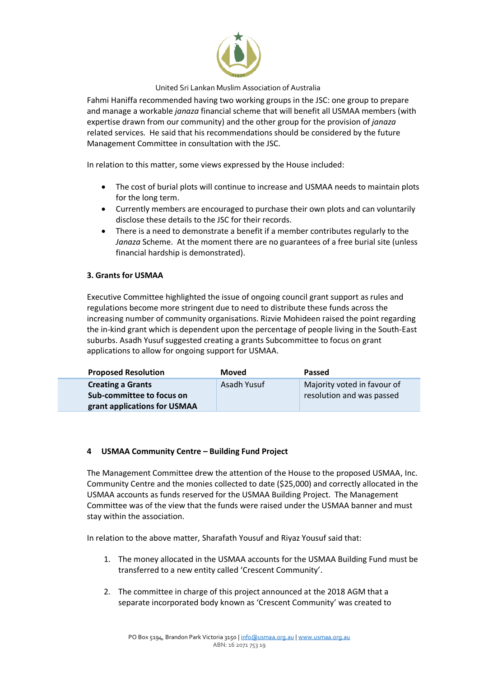

Fahmi Haniffa recommended having two working groups in the JSC: one group to prepare and manage a workable *janaza* financial scheme that will benefit all USMAA members (with expertise drawn from our community) and the other group for the provision of *janaza* related services. He said that his recommendations should be considered by the future Management Committee in consultation with the JSC.

In relation to this matter, some views expressed by the House included:

- The cost of burial plots will continue to increase and USMAA needs to maintain plots for the long term.
- Currently members are encouraged to purchase their own plots and can voluntarily disclose these details to the JSC for their records.
- There is a need to demonstrate a benefit if a member contributes regularly to the *Janaza* Scheme. At the moment there are no guarantees of a free burial site (unless financial hardship is demonstrated).

### **3. Grants for USMAA**

Executive Committee highlighted the issue of ongoing council grant support as rules and regulations become more stringent due to need to distribute these funds across the increasing number of community organisations. Rizvie Mohideen raised the point regarding the in-kind grant which is dependent upon the percentage of people living in the South-East suburbs. Asadh Yusuf suggested creating a grants Subcommittee to focus on grant applications to allow for ongoing support for USMAA.

| <b>Proposed Resolution</b>   | <b>Moved</b> | <b>Passed</b>               |
|------------------------------|--------------|-----------------------------|
| <b>Creating a Grants</b>     | Asadh Yusuf  | Majority voted in favour of |
| Sub-committee to focus on    |              | resolution and was passed   |
| grant applications for USMAA |              |                             |

#### **4 USMAA Community Centre – Building Fund Project**

The Management Committee drew the attention of the House to the proposed USMAA, Inc. Community Centre and the monies collected to date (\$25,000) and correctly allocated in the USMAA accounts as funds reserved for the USMAA Building Project. The Management Committee was of the view that the funds were raised under the USMAA banner and must stay within the association.

In relation to the above matter, Sharafath Yousuf and Riyaz Yousuf said that:

- 1. The money allocated in the USMAA accounts for the USMAA Building Fund must be transferred to a new entity called 'Crescent Community'.
- 2. The committee in charge of this project announced at the 2018 AGM that a separate incorporated body known as 'Crescent Community' was created to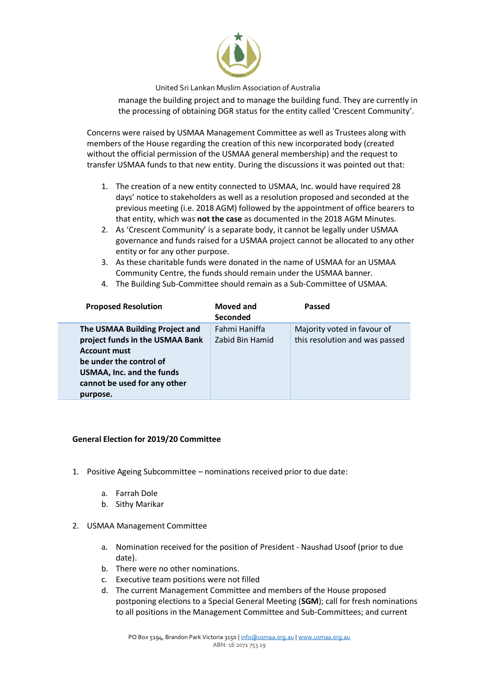

manage the building project and to manage the building fund. They are currently in the processing of obtaining DGR status for the entity called 'Crescent Community'.

Concerns were raised by USMAA Management Committee as well as Trustees along with members of the House regarding the creation of this new incorporated body (created without the official permission of the USMAA general membership) and the request to transfer USMAA funds to that new entity. During the discussions it was pointed out that:

- 1. The creation of a new entity connected to USMAA, Inc. would have required 28 days' notice to stakeholders as well as a resolution proposed and seconded at the previous meeting (i.e. 2018 AGM) followed by the appointment of office bearers to that entity, which was **not the case** as documented in the 2018 AGM Minutes.
- 2. As 'Crescent Community' is a separate body, it cannot be legally under USMAA governance and funds raised for a USMAA project cannot be allocated to any other entity or for any other purpose.
- 3. As these charitable funds were donated in the name of USMAA for an USMAA Community Centre, the funds should remain under the USMAA banner.
- 4. The Building Sub-Committee should remain as a Sub-Committee of USMAA.

| <b>Proposed Resolution</b>                                                                                                                                                                          | Moved and<br><b>Seconded</b>     | Passed                                                        |
|-----------------------------------------------------------------------------------------------------------------------------------------------------------------------------------------------------|----------------------------------|---------------------------------------------------------------|
| The USMAA Building Project and<br>project funds in the USMAA Bank<br><b>Account must</b><br>be under the control of<br><b>USMAA, Inc. and the funds</b><br>cannot be used for any other<br>purpose. | Fahmi Haniffa<br>Zabid Bin Hamid | Majority voted in favour of<br>this resolution and was passed |

#### **General Election for 2019/20 Committee**

- 1. Positive Ageing Subcommittee nominations received prior to due date:
	- a. Farrah Dole
	- b. Sithy Marikar
- 2. USMAA Management Committee
	- a. Nomination received for the position of President Naushad Usoof (prior to due date).
	- b. There were no other nominations.
	- c. Executive team positions were not filled
	- d. The current Management Committee and members of the House proposed postponing elections to a Special General Meeting (**SGM**); call for fresh nominations to all positions in the Management Committee and Sub-Committees; and current